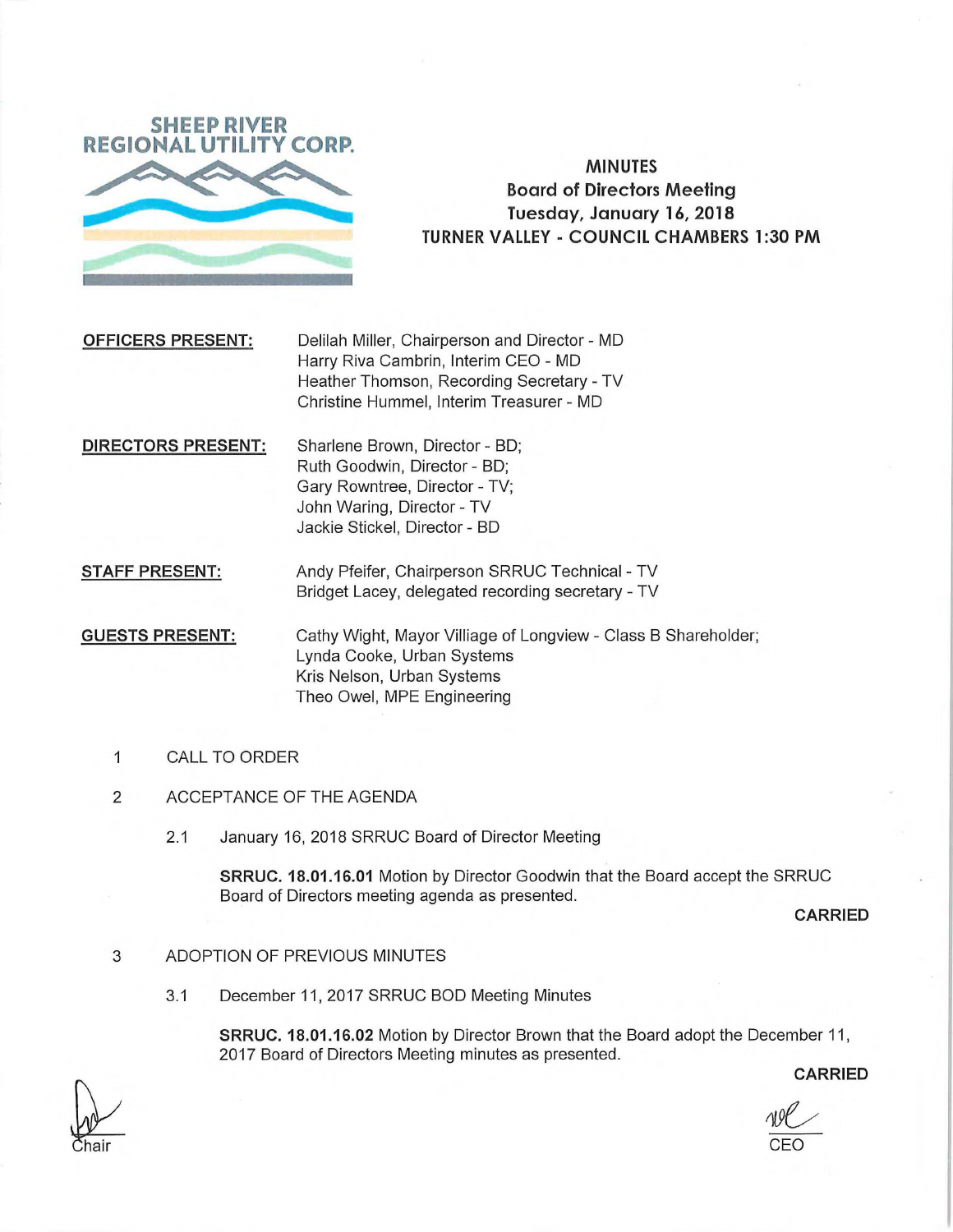

# **MINUTES Board of Directors Meeting Tuesday, January 16, 2018 TURNER VALLEY - COUNCIL CHAMBERS 1:30 PM**

**OFFICERS PRESENT:** Delilah Miller, Chairperson and Director - MD Harry Riva Cambrin, Interim CEO - MD Heather Thomson, Recording Secretary - TV Christine Hummel, Interim Treasurer - MD

**DIRECTORS PRESENT:** Sharlene Brown, Director - BD; Ruth Goodwin, Director - BD; Gary Rowntree, Director - TV; John Waring, Director - TV Jackie Stickel, Director - BD

**STAFF PRESENT:** Andy Pfeifer, Chairperson SRRUC Technical - TV Bridget Lacey, delegated recording secretary - TV

**GUESTS PRESENT:** Cathy Wight, Mayor Villiage of Longview - Class B Shareholder; Lynda Cooke, Urban Systems Kris Nelson, Urban Systems Theo Owel, MPE Engineering

- **1** CALL TO ORDER
- 2 ACCEPTANCE OF THE AGENDA
	- 2.1 January 16, 2018 SRRUC Board of Director Meeting

**SRRUC. 18.01.16.01** Motion by Director Goodwin that the Board accept the SRRUC Board of Directors meeting agenda as presented.

**CARRIED** 

## 3 ADOPTION OF PREVIOUS MINUTES

3.1 December 11,2017 SRRUC BOO Meeting Minutes

**SRRUC. 18.01.16.02** Motion by Director Brown that the Board adopt the December 11, 2017 Board of Directors Meeting minutes as presented.

**CARRIED** 

**Itel 1996** CEO

hair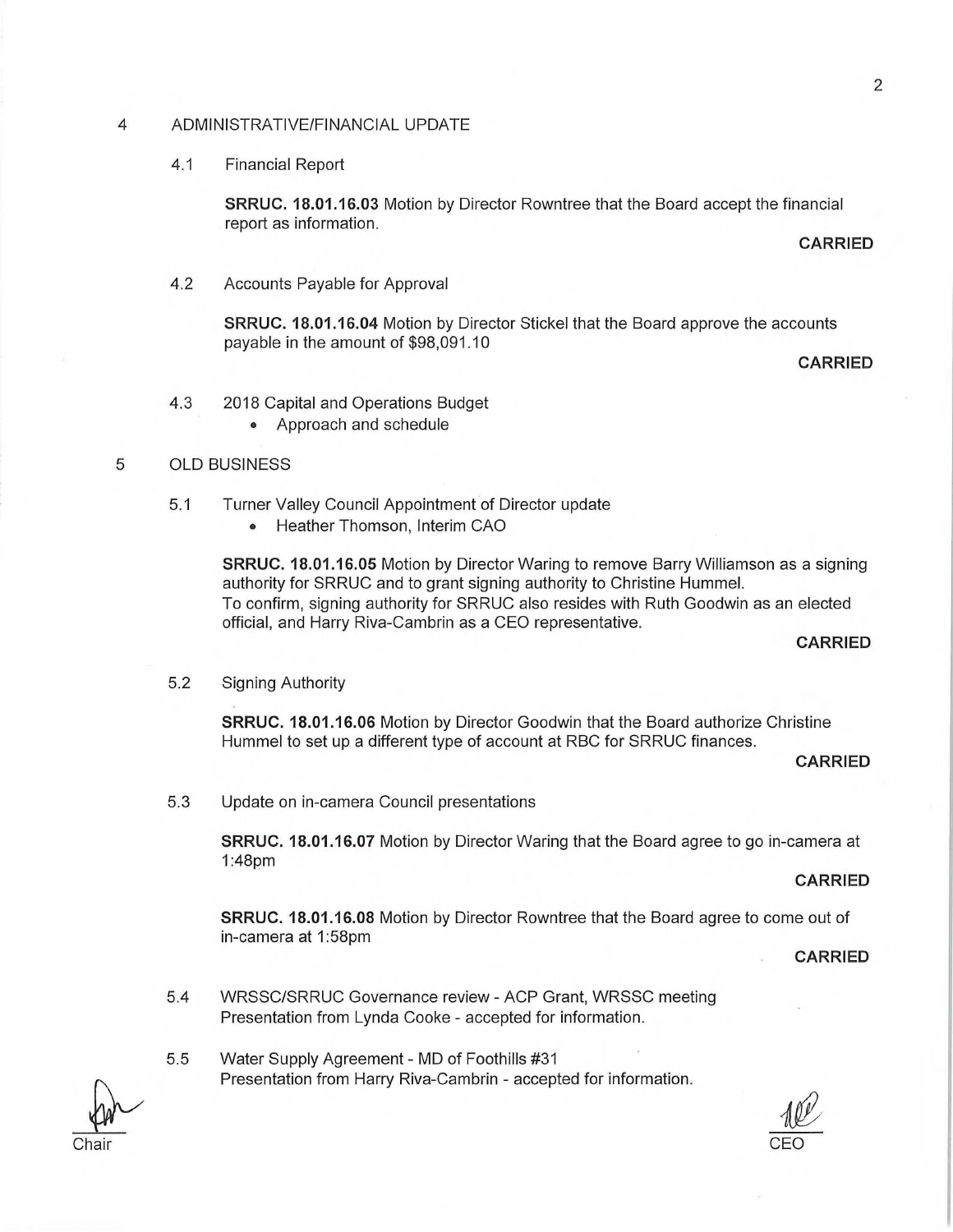#### 4 ADMINISTRATIVE/FINANCIAL UPDATE

#### 4.1 Financial Report

**SRRUC. 18.01.16.03** Motion by Director Rowntree that the Board accept the financial report as information.

**CARRIED** 

4.2 Accounts Payable for Approval

**SRRUC. 18.01.16.04** Motion by Director Stickel that the Board approve the accounts payable in the amount of \$98,091.10

**CARRIED** 

- 4.3 2018 Capital and Operations Budget
	- Approach and schedule

### 5 OLD BUSINESS

- 5.1 Turner Valley Council Appointment of Director update
	- Heather Thomson, Interim CAO

**SRRUC. 18.01.16.05** Motion by Director Waring to remove Barry Williamson as a signing authority for SRRUC and to grant signing authority to Christine Hummel. To confirm, signing authority for SRRUC also resides with Ruth Goodwin as an elected official, and Harry Riva-Cambrin as a CEO representative.

## **CARRIED**

5.2 Signing Authority

**SRRUC. 18.01.16.06** Motion by Director Goodwin that the Board authorize Christine Hummel to set up a different type of account at RBC for SRRUC finances.

**CARRIED** 

5.3 Update on in-camera Council presentations

**SRRUC. 18.01.16.07** Motion by Director Waring that the Board agree to go in-camera at 1:48pm

#### **CARRIED**

**SRRUC. 18.01.16.08** Motion by Director Rowntree that the Board agree to come out of in-camera at 1:58pnn

**CARRIED** 

- 5.4 WRSSC/SRRUC Governance review ACP Grant, WRSSC meeting Presentation from Lynda Cooke - accepted for information.
- 5.5 Water Supply Agreement MD of Foothills #31 Presentation from Harry Riva-Cambrin - accepted for information.

 $\frac{100}{100}$ 

Chair CEO